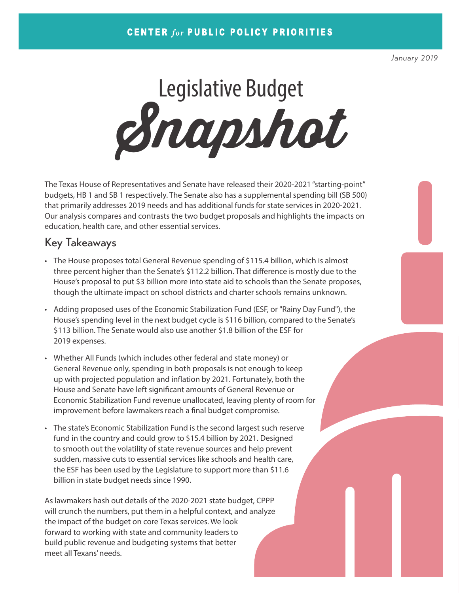*January 2019*

Legislative Budget **Snapshot**

The Texas House of Representatives and Senate have released their 2020-2021 "starting-point" budgets, HB 1 and SB 1 respectively. The Senate also has a supplemental spending bill (SB 500) that primarily addresses 2019 needs and has additional funds for state services in 2020-2021. Our analysis compares and contrasts the two budget proposals and highlights the impacts on education, health care, and other essential services.

## Key Takeaways

- The House proposes total General Revenue spending of \$115.4 billion, which is almost three percent higher than the Senate's \$112.2 billion. That difference is mostly due to the House's proposal to put \$3 billion more into state aid to schools than the Senate proposes, though the ultimate impact on school districts and charter schools remains unknown.
- Adding proposed uses of the Economic Stabilization Fund (ESF, or "Rainy Day Fund"), the House's spending level in the next budget cycle is \$116 billion, compared to the Senate's \$113 billion. The Senate would also use another \$1.8 billion of the ESF for 2019 expenses.
- Whether All Funds (which includes other federal and state money) or General Revenue only, spending in both proposals is not enough to keep up with projected population and inflation by 2021. Fortunately, both the House and Senate have left significant amounts of General Revenue or Economic Stabilization Fund revenue unallocated, leaving plenty of room for improvement before lawmakers reach a final budget compromise.
- The state's Economic Stabilization Fund is the second largest such reserve fund in the country and could grow to \$15.4 billion by 2021. Designed to smooth out the volatility of state revenue sources and help prevent sudden, massive cuts to essential services like schools and health care, the ESF has been used by the Legislature to support more than \$11.6 billion in state budget needs since 1990.

As lawmakers hash out details of the 2020-2021 state budget, CPPP will crunch the numbers, put them in a helpful context, and analyze the impact of the budget on core Texas services. We look forward to working with state and community leaders to build public revenue and budgeting systems that better meet all Texans' needs.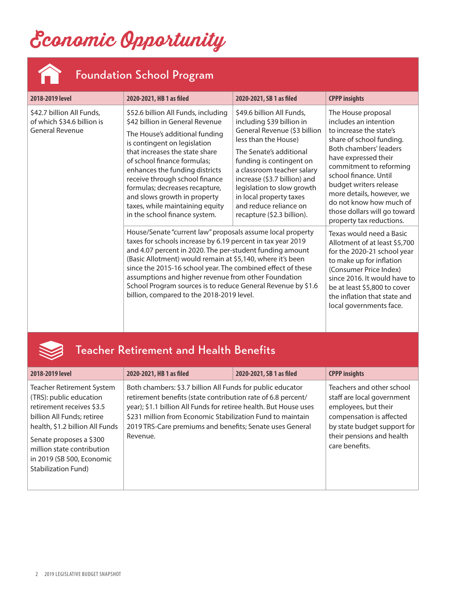# **Economic Opportunity**



X

# Foundation School Program

| 2018-2019 level                                                                   | 2020-2021, HB 1 as filed                                                                                                                                                                                                                                                                                                                                                                                                                                                                | 2020-2021, SB 1 as filed                                                                                                                                                                                                                                                                                                                             | <b>CPPP insights</b>                                                                                                                                                                                                                                                                                                                                          |
|-----------------------------------------------------------------------------------|-----------------------------------------------------------------------------------------------------------------------------------------------------------------------------------------------------------------------------------------------------------------------------------------------------------------------------------------------------------------------------------------------------------------------------------------------------------------------------------------|------------------------------------------------------------------------------------------------------------------------------------------------------------------------------------------------------------------------------------------------------------------------------------------------------------------------------------------------------|---------------------------------------------------------------------------------------------------------------------------------------------------------------------------------------------------------------------------------------------------------------------------------------------------------------------------------------------------------------|
| \$42.7 billion All Funds,<br>of which \$34.6 billion is<br><b>General Revenue</b> | \$52.6 billion All Funds, including<br>\$42 billion in General Revenue<br>The House's additional funding<br>is contingent on legislation<br>that increases the state share<br>of school finance formulas;<br>enhances the funding districts<br>receive through school finance<br>formulas; decreases recapture,<br>and slows growth in property<br>taxes, while maintaining equity<br>in the school finance system.                                                                     | \$49.6 billion All Funds.<br>including \$39 billion in<br>General Revenue (\$3 billion<br>less than the House)<br>The Senate's additional<br>funding is contingent on<br>a classroom teacher salary<br>increase (\$3.7 billion) and<br>legislation to slow growth<br>in local property taxes<br>and reduce reliance on<br>recapture (\$2.3 billion). | The House proposal<br>includes an intention<br>to increase the state's<br>share of school funding.<br><b>Both chambers' leaders</b><br>have expressed their<br>commitment to reforming<br>school finance. Until<br>budget writers release<br>more details, however, we<br>do not know how much of<br>those dollars will go toward<br>property tax reductions. |
|                                                                                   | House/Senate "current law" proposals assume local property<br>taxes for schools increase by 6.19 percent in tax year 2019<br>and 4.07 percent in 2020. The per-student funding amount<br>(Basic Allotment) would remain at \$5,140, where it's been<br>since the 2015-16 school year. The combined effect of these<br>assumptions and higher revenue from other Foundation<br>School Program sources is to reduce General Revenue by \$1.6<br>billion, compared to the 2018-2019 level. |                                                                                                                                                                                                                                                                                                                                                      | Texas would need a Basic<br>Allotment of at least \$5,700<br>for the 2020-21 school year<br>to make up for inflation<br>(Consumer Price Index)<br>since 2016. It would have to<br>be at least \$5,800 to cover<br>the inflation that state and<br>local governments face.                                                                                     |

## Teacher Retirement and Health Benefits

| 2018-2019 level                                                                                                                                                                                                                                                 | 2020-2021, HB 1 as filed                                                                                                                                                                                                                                                                                                              | 2020-2021, SB 1 as filed | <b>CPPP insights</b>                                                                                                                                                                      |
|-----------------------------------------------------------------------------------------------------------------------------------------------------------------------------------------------------------------------------------------------------------------|---------------------------------------------------------------------------------------------------------------------------------------------------------------------------------------------------------------------------------------------------------------------------------------------------------------------------------------|--------------------------|-------------------------------------------------------------------------------------------------------------------------------------------------------------------------------------------|
| Teacher Retirement System<br>(TRS): public education<br>retirement receives \$3.5<br>billion All Funds; retiree<br>health, \$1.2 billion All Funds<br>Senate proposes a \$300<br>million state contribution<br>in 2019 (SB 500, Economic<br>Stabilization Fund) | Both chambers: \$3.7 billion All Funds for public educator<br>retirement benefits (state contribution rate of 6.8 percent/<br>year); \$1.1 billion All Funds for retiree health. But House uses<br>\$231 million from Economic Stabilization Fund to maintain<br>2019 TRS-Care premiums and benefits; Senate uses General<br>Revenue. |                          | Teachers and other school<br>staff are local government<br>employees, but their<br>compensation is affected<br>by state budget support for<br>their pensions and health<br>care benefits. |
|                                                                                                                                                                                                                                                                 |                                                                                                                                                                                                                                                                                                                                       |                          |                                                                                                                                                                                           |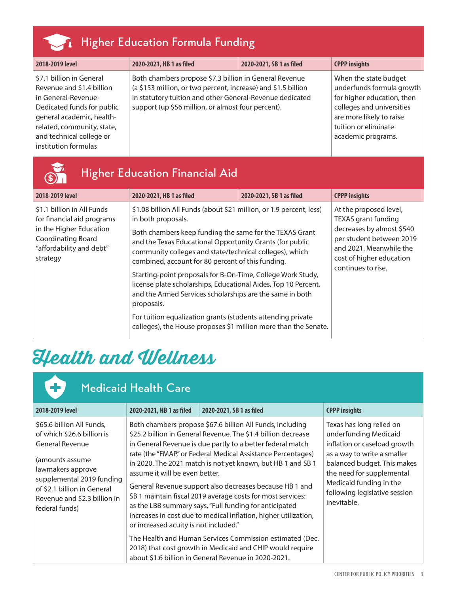| <b>Higher Education Formula Funding</b>                                                                                                                                                                                   |                                                                                                                                                                                                                                           |                          |                                                                                                                                                                                         |
|---------------------------------------------------------------------------------------------------------------------------------------------------------------------------------------------------------------------------|-------------------------------------------------------------------------------------------------------------------------------------------------------------------------------------------------------------------------------------------|--------------------------|-----------------------------------------------------------------------------------------------------------------------------------------------------------------------------------------|
| 2018-2019 level                                                                                                                                                                                                           | 2020-2021, HB 1 as filed                                                                                                                                                                                                                  | 2020-2021, SB 1 as filed | <b>CPPP insights</b>                                                                                                                                                                    |
| \$7.1 billion in General<br>Revenue and \$1.4 billion<br>in General-Revenue-<br>Dedicated funds for public<br>general academic, health-<br>related, community, state,<br>and technical college or<br>institution formulas | Both chambers propose \$7.3 billion in General Revenue<br>(a \$153 million, or two percent, increase) and \$1.5 billion<br>in statutory tuition and other General-Revenue dedicated<br>support (up \$56 million, or almost four percent). |                          | When the state budget<br>underfunds formula growth<br>for higher education, then<br>colleges and universities<br>are more likely to raise<br>tuition or eliminate<br>academic programs. |

| <b>Higher Education Financial Aid</b>                                                                                                                    |                                                                                                                                                                                                                                                                                                                                                                                                                                                                                                                                                                                                                                                                               |                          |                                                                                                                                                                                            |  |
|----------------------------------------------------------------------------------------------------------------------------------------------------------|-------------------------------------------------------------------------------------------------------------------------------------------------------------------------------------------------------------------------------------------------------------------------------------------------------------------------------------------------------------------------------------------------------------------------------------------------------------------------------------------------------------------------------------------------------------------------------------------------------------------------------------------------------------------------------|--------------------------|--------------------------------------------------------------------------------------------------------------------------------------------------------------------------------------------|--|
| 2018-2019 level                                                                                                                                          | 2020-2021, HB 1 as filed                                                                                                                                                                                                                                                                                                                                                                                                                                                                                                                                                                                                                                                      | 2020-2021, SB 1 as filed | <b>CPPP insights</b>                                                                                                                                                                       |  |
| \$1.1 billion in All Funds<br>for financial aid programs<br>in the Higher Education<br><b>Coordinating Board</b><br>"affordability and debt"<br>strategy | \$1.08 billion All Funds (about \$21 million, or 1.9 percent, less)<br>in both proposals.<br>Both chambers keep funding the same for the TEXAS Grant<br>and the Texas Educational Opportunity Grants (for public<br>community colleges and state/technical colleges), which<br>combined, account for 80 percent of this funding.<br>Starting-point proposals for B-On-Time, College Work Study,<br>license plate scholarships, Educational Aides, Top 10 Percent,<br>and the Armed Services scholarships are the same in both<br>proposals.<br>For tuition equalization grants (students attending private<br>colleges), the House proposes \$1 million more than the Senate. |                          | At the proposed level,<br><b>TEXAS</b> grant funding<br>decreases by almost \$540<br>per student between 2019<br>and 2021. Meanwhile the<br>cost of higher education<br>continues to rise. |  |

# **Health and Wellness**

| <b>Medicaid Health Care</b>                                                                                                                                                                                                             |                                                                         |                                                                                                                                                                                                                                                                                                                                                                                                                                                                                                                                                                                                                                                                                                                                                                |                                                                                                                                                                                                                                                         |  |
|-----------------------------------------------------------------------------------------------------------------------------------------------------------------------------------------------------------------------------------------|-------------------------------------------------------------------------|----------------------------------------------------------------------------------------------------------------------------------------------------------------------------------------------------------------------------------------------------------------------------------------------------------------------------------------------------------------------------------------------------------------------------------------------------------------------------------------------------------------------------------------------------------------------------------------------------------------------------------------------------------------------------------------------------------------------------------------------------------------|---------------------------------------------------------------------------------------------------------------------------------------------------------------------------------------------------------------------------------------------------------|--|
| 2018-2019 level                                                                                                                                                                                                                         | 2020-2021, HB 1 as filed                                                | 2020-2021, SB 1 as filed                                                                                                                                                                                                                                                                                                                                                                                                                                                                                                                                                                                                                                                                                                                                       | <b>CPPP insights</b>                                                                                                                                                                                                                                    |  |
| \$65.6 billion All Funds,<br>of which \$26.6 billion is<br><b>General Revenue</b><br>(amounts assume<br>lawmakers approve<br>supplemental 2019 funding<br>of \$2.1 billion in General<br>Revenue and \$2.3 billion in<br>federal funds) | assume it will be even better.<br>or increased acuity is not included." | Both chambers propose \$67.6 billion All Funds, including<br>\$25.2 billion in General Revenue. The \$1.4 billion decrease<br>in General Revenue is due partly to a better federal match<br>rate (the "FMAP," or Federal Medical Assistance Percentages)<br>in 2020. The 2021 match is not yet known, but HB 1 and SB 1<br>General Revenue support also decreases because HB 1 and<br>SB 1 maintain fiscal 2019 average costs for most services:<br>as the LBB summary says, "Full funding for anticipated<br>increases in cost due to medical inflation, higher utilization,<br>The Health and Human Services Commission estimated (Dec.<br>2018) that cost growth in Medicaid and CHIP would require<br>about \$1.6 billion in General Revenue in 2020-2021. | Texas has long relied on<br>underfunding Medicaid<br>inflation or caseload growth<br>as a way to write a smaller<br>balanced budget. This makes<br>the need for supplemental<br>Medicaid funding in the<br>following legislative session<br>inevitable. |  |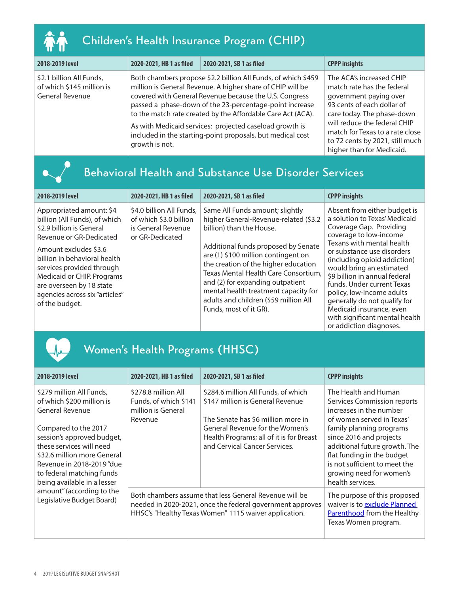| П<br>IТ |
|---------|

 $\bullet$ 

# Children's Health Insurance Program (CHIP)

| 2018-2019 level                                                          | 2020-2021, HB 1 as filed | 2020-2021, SB 1 as filed                                                                                                                                                                                                                                                                                                                                                                                                                 | <b>CPPP insights</b>                                                                                                                                                                                                                                                            |
|--------------------------------------------------------------------------|--------------------------|------------------------------------------------------------------------------------------------------------------------------------------------------------------------------------------------------------------------------------------------------------------------------------------------------------------------------------------------------------------------------------------------------------------------------------------|---------------------------------------------------------------------------------------------------------------------------------------------------------------------------------------------------------------------------------------------------------------------------------|
| \$2.1 billion All Funds,<br>of which \$145 million is<br>General Revenue | growth is not.           | Both chambers propose \$2.2 billion All Funds, of which \$459<br>million is General Revenue. A higher share of CHIP will be<br>covered with General Revenue because the U.S. Congress<br>passed a phase-down of the 23-percentage-point increase<br>to the match rate created by the Affordable Care Act (ACA).<br>As with Medicaid services: projected caseload growth is<br>included in the starting-point proposals, but medical cost | The ACA's increased CHIP<br>match rate has the federal<br>government paying over<br>93 cents of each dollar of<br>care today. The phase-down<br>will reduce the federal CHIP<br>match for Texas to a rate close<br>to 72 cents by 2021, still much<br>higher than for Medicaid. |

# Behavioral Health and Substance Use Disorder Services

| 2018-2019 level                                                                                                                                                                                                                                                                                                      | 2020-2021, HB 1 as filed                                                                    | 2020-2021, SB 1 as filed                                                                                                                                                                                                                                                                                                                                                                                          | <b>CPPP insights</b>                                                                                                                                                                                                                                                                                                                                                                                                                                           |
|----------------------------------------------------------------------------------------------------------------------------------------------------------------------------------------------------------------------------------------------------------------------------------------------------------------------|---------------------------------------------------------------------------------------------|-------------------------------------------------------------------------------------------------------------------------------------------------------------------------------------------------------------------------------------------------------------------------------------------------------------------------------------------------------------------------------------------------------------------|----------------------------------------------------------------------------------------------------------------------------------------------------------------------------------------------------------------------------------------------------------------------------------------------------------------------------------------------------------------------------------------------------------------------------------------------------------------|
| Appropriated amount: \$4<br>billion (All Funds), of which<br>\$2.9 billion is General<br>Revenue or GR-Dedicated<br>Amount excludes \$3.6<br>billion in behavioral health<br>services provided through<br>Medicaid or CHIP. Programs<br>are overseen by 18 state<br>agencies across six "articles"<br>of the budget. | \$4.0 billion All Funds,<br>of which \$3.0 billion<br>is General Revenue<br>or GR-Dedicated | Same All Funds amount; slightly<br>higher General-Revenue-related (\$3.2<br>billion) than the House.<br>Additional funds proposed by Senate<br>are (1) \$100 million contingent on<br>the creation of the higher education<br>Texas Mental Health Care Consortium,<br>and (2) for expanding outpatient<br>mental health treatment capacity for<br>adults and children (\$59 million All<br>Funds, most of it GR). | Absent from either budget is<br>a solution to Texas' Medicaid<br>Coverage Gap. Providing<br>coverage to low-income<br>Texans with mental health<br>or substance use disorders<br>(including opioid addiction)<br>would bring an estimated<br>\$9 billion in annual federal<br>funds. Under current Texas<br>policy, low-income adults<br>generally do not qualify for<br>Medicaid insurance, even<br>with significant mental health<br>or addiction diagnoses. |

# Women's Health Programs (HHSC)

| 2018-2019 level                                                                                                                                                                                                                                                  | 2020-2021, HB 1 as filed                                                                                                                                                     | 2020-2021, SB 1 as filed                                                                                      | <b>CPPP insights</b>                                                                                                                                                                                |
|------------------------------------------------------------------------------------------------------------------------------------------------------------------------------------------------------------------------------------------------------------------|------------------------------------------------------------------------------------------------------------------------------------------------------------------------------|---------------------------------------------------------------------------------------------------------------|-----------------------------------------------------------------------------------------------------------------------------------------------------------------------------------------------------|
| \$279 million All Funds,<br>of which \$200 million is<br>General Revenue                                                                                                                                                                                         | \$278.8 million All<br>Funds, of which \$141<br>million is General<br>Revenue                                                                                                | \$284.6 million All Funds, of which<br>\$147 million is General Revenue<br>The Senate has \$6 million more in | The Health and Human<br>Services Commission reports<br>increases in the number<br>of women served in Texas'                                                                                         |
| Compared to the 2017<br>session's approved budget,<br>these services will need<br>\$32.6 million more General<br>Revenue in 2018-2019 "due<br>to federal matching funds<br>being available in a lesser<br>amount" (according to the<br>Legislative Budget Board) |                                                                                                                                                                              | General Revenue for the Women's<br>Health Programs; all of it is for Breast<br>and Cervical Cancer Services.  | family planning programs<br>since 2016 and projects<br>additional future growth. The<br>flat funding in the budget<br>is not sufficient to meet the<br>growing need for women's<br>health services. |
|                                                                                                                                                                                                                                                                  | Both chambers assume that less General Revenue will be<br>needed in 2020-2021, once the federal government approves<br>HHSC's "Healthy Texas Women" 1115 waiver application. |                                                                                                               | The purpose of this proposed<br>waiver is to exclude Planned<br>Parenthood from the Healthy<br>Texas Women program.                                                                                 |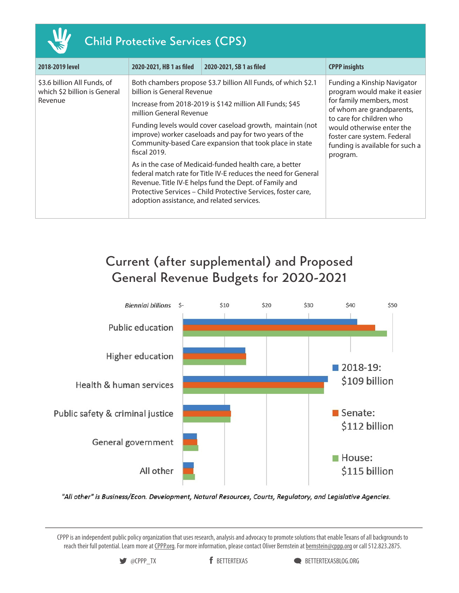| <b>Child Protective Services (CPS)</b>                                 |                                                                                                                     |                                                                                                                                                                                                                                                                                                                                                                                                                                                                                                                                                                     |                                                                                                                                                                                                                                                             |  |  |
|------------------------------------------------------------------------|---------------------------------------------------------------------------------------------------------------------|---------------------------------------------------------------------------------------------------------------------------------------------------------------------------------------------------------------------------------------------------------------------------------------------------------------------------------------------------------------------------------------------------------------------------------------------------------------------------------------------------------------------------------------------------------------------|-------------------------------------------------------------------------------------------------------------------------------------------------------------------------------------------------------------------------------------------------------------|--|--|
| 2018-2019 level                                                        | 2020-2021, HB 1 as filed                                                                                            | 2020-2021, SB 1 as filed                                                                                                                                                                                                                                                                                                                                                                                                                                                                                                                                            | <b>CPPP insights</b>                                                                                                                                                                                                                                        |  |  |
| \$3.6 billion All Funds, of<br>which \$2 billion is General<br>Revenue | billion is General Revenue<br>million General Revenue<br>fiscal 2019.<br>adoption assistance, and related services. | Both chambers propose \$3.7 billion All Funds, of which \$2.1<br>Increase from 2018-2019 is \$142 million All Funds; \$45<br>Funding levels would cover caseload growth, maintain (not<br>improve) worker caseloads and pay for two years of the<br>Community-based Care expansion that took place in state<br>As in the case of Medicaid-funded health care, a better<br>federal match rate for Title IV-E reduces the need for General<br>Revenue. Title IV-E helps fund the Dept. of Family and<br>Protective Services – Child Protective Services, foster care, | Funding a Kinship Navigator<br>program would make it easier<br>for family members, most<br>of whom are grandparents,<br>to care for children who<br>would otherwise enter the<br>foster care system. Federal<br>funding is available for such a<br>program. |  |  |

# Current (after supplemental) and Proposed General Revenue Budgets for 2020-2021



"All other" is Business/Econ. Development, Natural Resources, Courts, Regulatory, and Legislative Agencies.

CPPP is an independent public policy organization that uses research, analysis and advocacy to promote solutions that enable Texans of all backgrounds to reach their full potential. Learn more at [CPPP.org.](http://forabettertexas.org/) For more information, please contact Oliver Bernstein at [bernstein@cppp.org](mailto:bernstein@cppp.org) or call 512.823.2875.